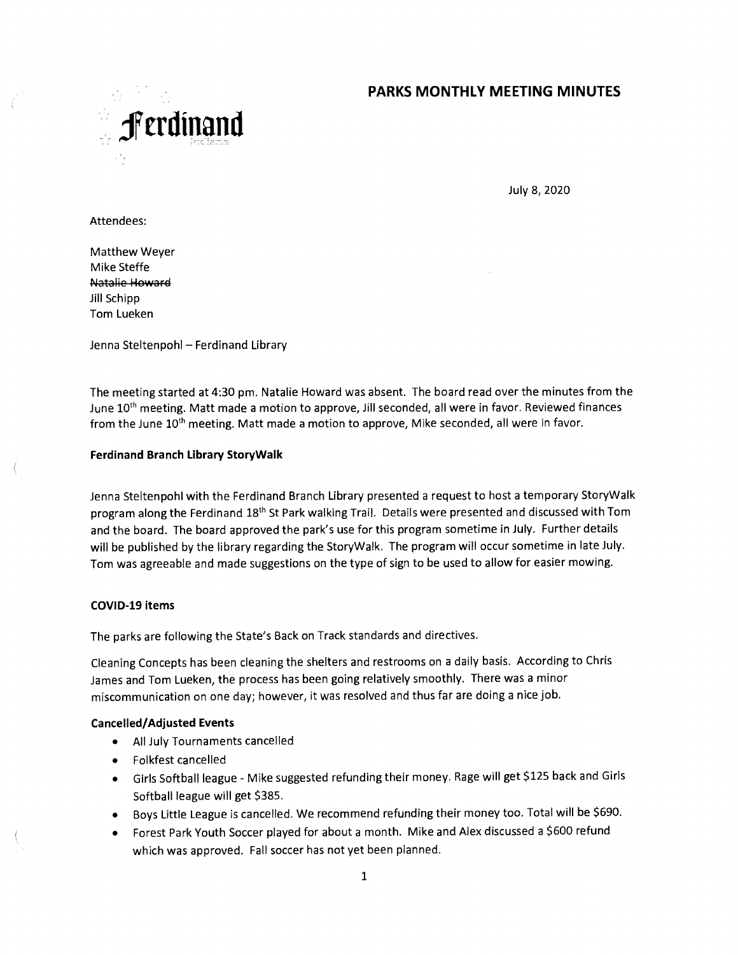# **PARKS MONTHLY MEETING MINUTES**



July 8, 2020

Attendees:

Matthew Weyer Mike Steffe Natalie Howard Jill Schipp Tom Lueken

Jenna Steltenpohl — Ferdinand Library

The meeting started at 4:30 pm. Natalie Howard was absent. The board read over the minutes from the June 10<sup>th</sup> meeting. Matt made a motion to approve, Jill seconded, all were in favor. Reviewed finances from the June 10<sup>th</sup> meeting. Matt made a motion to approve, Mike seconded, all were in favor.

### **Ferdinand Branch Library StoryWalk**

Jenna Steltenpohl with the Ferdinand Branch Library presented a request to host a temporary StoryWalk program along the Ferdinand 18th St Park walking Trail. Details were presented and discussed with Tom and the board. The board approved the park's use for this program sometime in July. Further details will be published by the library regarding the StoryWalk. The program will occur sometime in late July. Tom was agreeable and made suggestions on the type of sign to be used to allow for easier mowing.

### **COVID-19 ¡tems**

The parks are following the State's Back on Track standards and directives.

Cleaning Concepts has been cleaning the shelters and restrooms on a daily basis. According to Chris James and Tom Lueken, the process has been going relatively smoothly. There was a minor miscommunication on one day; however, it was resolved and thus far are doing a nice job.

### **Cancelled/Adjusted Events**

- All July Tournaments cancelled
- Folkfest cancelled
- Girls Softball league Mike suggested refunding their money. Rage will get \$125 back and Girls Softball league will get \$385.
- Boys Little League is cancelled. We recommend refunding their money too. Total will be \$690.
- Forest Park Youth Soccer played for about a month. Mike and Alex discussed a \$600 refund which was approved. Fall soccer has not yet been planned.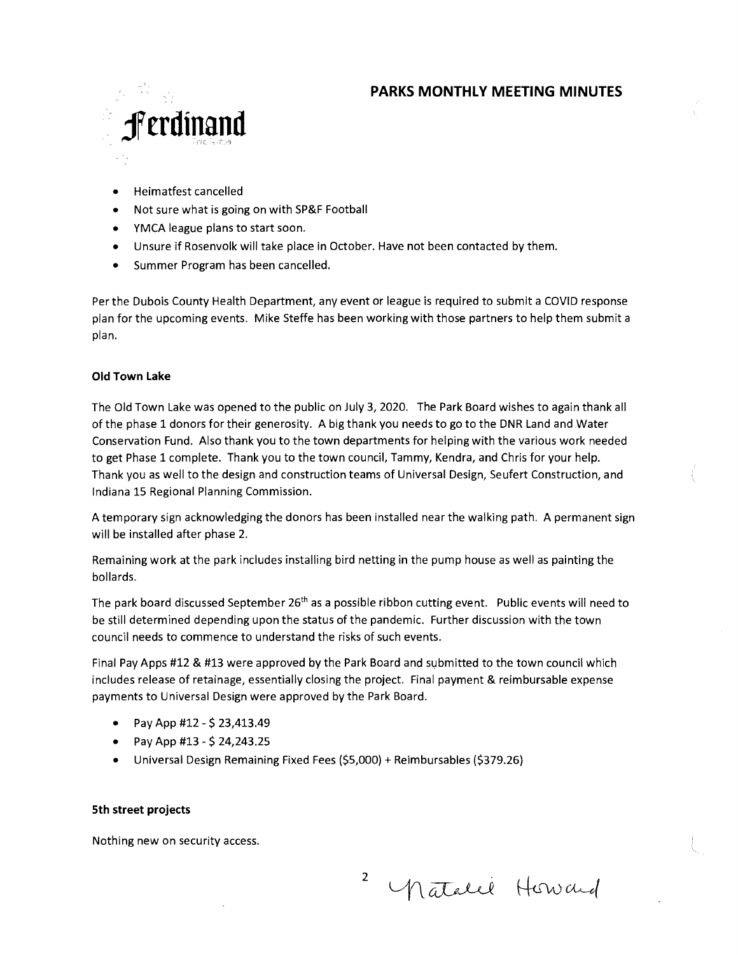# **PARKS MONTHLY MEETING MINUTES**



- Heimatfest cancelled
- Not sure what is going on with SP&F Football
- YMCA league plans to start soon.
- Unsure if Rosenvolk will take place in October. Have not been contacted by them.
- Summer Program has been cancelled.

Per the Dubois County Health Department, any event or league is required to submit a COVID response plan for the upcoming events. Mike Steffe has been working with those partners to help them submit a plan.

#### **Old Town Lake**

The Old Town Lake was opened to the public on July 3, 2020. The Park Board wishes to again thank all of the phase 1 donors for their generosity. A big thank you needs to go to the DNR Land and Water Conservation Fund. Also thank you to the town departments for helping with the various work needed to get Phase **1** complete. Thank you to the town council, Tammy, Kendra, and Chris for your help. Thank you as well to the design and construction teams of Universal Design, Seufert Construction, and Indiana 15 Regional Planning Commission.

A temporary sign acknowledging the donors has been installed near the walking path. A permanent sign will be installed after phase 2.

Remaining work at the park includes installing bird netting in the pump house as well as painting the bollards.

The park board discussed September  $26<sup>th</sup>$  as a possible ribbon cutting event. Public events will need to be still determined depending upon the status of the pandemic. Further discussion with the town council needs to commence to understand the risks of such events.

Final Pay Apps #12 & #13 were approved by the Park Board and submitted to the town council which includes release of retainage, essentially closing the project. Final payment & reimbursable expense payments to Universal Design were approved by the Park Board.

- Pay App #12 \$ 23,413.49
- Pay App #13 \$ 24,243.25
- Universal Design Remaining Fixed Fees (\$5,000) + Reimbursables (\$379.26)

### **5th street projects**

Nothing new on security access.

2

natalel Howard